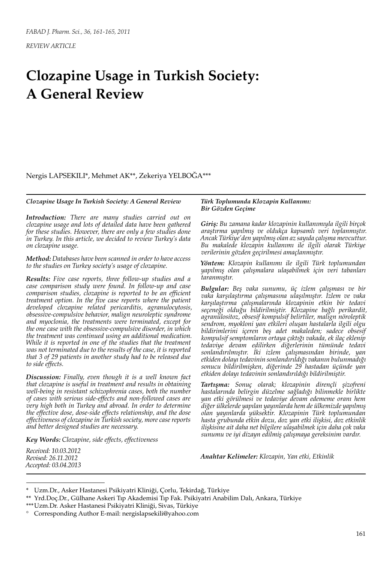# **Clozapine Usage in Turkish Society: A General Review**

Nergis LAPSEKILI\*, Mehmet AK\*\*, Zekeriya YELBOĞA\*\*\*

#### *Clozapine Usage In Turkish Society: A General Review*

*Introduction: There are many studies carried out on clozapine usage and lots of detailed data have been gathered for these studies. However, there are only a few studies done in Turkey. In this article, we decided to review Turkey's data on clozapine usage.*

*Method: Databases have been scanned in order to have access to the studies on Turkey society's usage of clozapine.*

*Results: Five case reports, three follow-up studies and a case comparison study were found. In follow-up and case comparison studies, clozapine is reported to be an efficient treatment option. In the five case reports where the patient developed clozapine related pericarditis, agranulocytosis, obsessive-compulsive behavior, malign neuroleptic syndrome and myoclonia, the treatments were terminated, except for the one case with the obsessive-compulsive disorder, in which the treatment was continued using an additional medication. While it is reported in one of the studies that the treatment was not terminated due to the results of the case, it is reported that 3 of 29 patients in another study had to be released due to side effects.*

*Discussion: Finally, even though it is a well known fact that clozapine is useful in treatment and results in obtaining well-being in resistant schizophrenia cases, both the number of cases with serious side-effects and non-followed cases are very high both in Turkey and abroad. In order to determine the effective dose, dose-side effects relationship, and the dose effectiveness of clozapine in Turkish society, more case reports and better designed studies are necessary.*

*Key Words: Clozapine, side effects, effectiveness*

*Received: 10.03.2012 Revised: 26.11.2012 Accepted: 03.04.2013*

#### *Türk Toplumunda Klozapin Kullanımı: Bir Gözden Geçime*

*Giriş: Bu zamana kadar klozapinin kullanımıyla ilgili birçok araştırma yapılmış ve oldukça kapsamlı veri toplanmıştır. Ancak Türkiye'den yapılmış olan az sayıda çalışma mevcuttur. Bu makalede klozapin kullanımı ile ilgili olarak Türkiye verilerinin gözden geçirilmesi amaçlanmıştır.*

*Yöntem: Klozapin kullanımı ile ilgili Türk toplumundan yapılmış olan çalışmalara ulaşabilmek için veri tabanları taranmıştır.*

*Bulgular: Beş vaka sunumu, üç izlem çalışması ve bir vaka karşılaştırma çalışmasına ulaşılmıştır. İzlem ve vaka karşılaştırma çalışmalarında klozapinin etkin bir tedavi seçeneği olduğu bildirilmiştir. Klozapine bağlı perikardit, agranülositoz, obsesif kompulsif belirtiler, malign nöroleptik sendrom, myokloni yan etkileri oluşan hastalarla ilgili olgu bildirimlerini içeren beş adet makaleden; sadece obsesif kompulsif semptomların ortaya çıktığı vakada, ek ilaç eklenip tedaviye devam edilirken diğerlerinin tümünde tedavi sonlandırılmıştır. İki izlem çalışmasından birinde, yan etkiden dolayı tedavinin sonlandırıldığı vakanın bulunmadığı sonucu bildirilmişken, diğerinde 29 hastadan üçünde yan etkiden dolayı tedavinin sonlandırıldığı bildirilmiştir.*

*Tartışma: Sonuç olarak; klozapinin dirençli şizofreni hastalarında belirgin düzelme sağladığı bilinmekle birlikte yan etki görülmesi ve tedaviye devam edememe oranı hem diğer ülkelerde yapılan yayınlarda hem de ülkemizde yapılmış olan yayınlarda yüksektir. Klozapinin Türk toplumundan hasta grubunda etkin dozu, doz yan etki ilişkisi, doz etkinlik ilişkisine ait daha net bilgilere ulaşabilmek için daha çok vaka sunumu ve iyi dizayn edilmiş çalışmaya gereksinim vardır.*

*Anahtar Kelimeler: Klozapin, Yan etki, Etkinlik*

<sup>\*</sup> Uzm.Dr., Asker Hastanesi Psikiyatri Kliniği, Çorlu, Tekirdağ, Türkiye

<sup>\*\*</sup> Yrd.Doç.Dr., Gülhane Askeri Tıp Akademisi Tıp Fak. Psikiyatri Anabilim Dalı, Ankara, Türkiye

<sup>\*\*\*</sup>Uzm.Dr. Asker Hastanesi Psikiyatri Kliniği, Sivas, Türkiye

<sup>°</sup> Corresponding Author E-mail: nergislapsekili@yahoo.com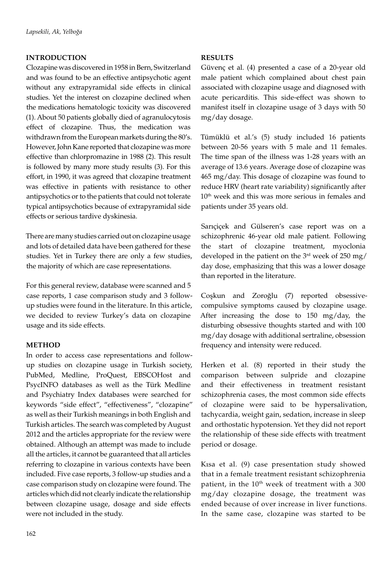## **INTRODUCTION**

Clozapine was discovered in 1958 in Bern, Switzerland and was found to be an effective antipsychotic agent without any extrapyramidal side effects in clinical studies. Yet the interest on clozapine declined when the medications hematologic toxicity was discovered (1). About 50 patients globally died of agranulocytosis effect of clozapine. Thus, the medication was withdrawn from the European markets during the 80's. However, John Kane reported that clozapine was more effective than chlorpromazine in 1988 (2). This result is followed by many more study results (3). For this effort, in 1990, it was agreed that clozapine treatment was effective in patients with resistance to other antipsychotics or to the patients that could not tolerate typical antipsychotics because of extrapyramidal side effects or serious tardive dyskinesia.

There are many studies carried out on clozapine usage and lots of detailed data have been gathered for these studies. Yet in Turkey there are only a few studies, the majority of which are case representations.

For this general review, database were scanned and 5 case reports, 1 case comparison study and 3 followup studies were found in the literature. In this article, we decided to review Turkey's data on clozapine usage and its side effects.

### **METHOD**

In order to access case representations and followup studies on clozapine usage in Turkish society, PubMed, Medline, ProQuest, EBSCOHost and PsycINFO databases as well as the Türk Medline and Psychiatry Index databases were searched for keywords "side effect", "effectiveness", "clozapine" as well as their Turkish meanings in both English and Turkish articles. The search was completed by August 2012 and the articles appropriate for the review were obtained. Although an attempt was made to include all the articles, it cannot be guaranteed that all articles referring to clozapine in various contexts have been included. Five case reports, 3 follow-up studies and a case comparison study on clozapine were found. The articles which did not clearly indicate the relationship between clozapine usage, dosage and side effects were not included in the study.

## **RESULTS**

Güvenç et al. (4) presented a case of a 20-year old male patient which complained about chest pain associated with clozapine usage and diagnosed with acute pericarditis. This side-effect was shown to manifest itself in clozapine usage of 3 days with 50 mg/day dosage.

Tümüklü et al.'s (5) study included 16 patients between 20-56 years with 5 male and 11 females. The time span of the illness was 1-28 years with an average of 13.6 years. Average dose of clozapine was 465 mg/day. This dosage of clozapine was found to reduce HRV (heart rate variability) significantly after 10<sup>th</sup> week and this was more serious in females and patients under 35 years old.

Sarıçiçek and Gülseren's case report was on a schizophrenic 46-year old male patient. Following the start of clozapine treatment, myoclonia developed in the patient on the  $3<sup>rd</sup>$  week of 250 mg/ day dose, emphasizing that this was a lower dosage than reported in the literature.

Coşkun and Zoroğlu (7) reported obsessivecompulsive symptoms caused by clozapine usage. After increasing the dose to 150 mg/day, the disturbing obsessive thoughts started and with 100 mg/day dosage with additional sertraline, obsession frequency and intensity were reduced.

Herken et al. (8) reported in their study the comparison between sulpride and clozapine and their effectiveness in treatment resistant schizophrenia cases, the most common side effects of clozapine were said to be hypersalivation, tachycardia, weight gain, sedation, increase in sleep and orthostatic hypotension. Yet they did not report the relationship of these side effects with treatment period or dosage.

Kısa et al. (9) case presentation study showed that in a female treatment resistant schizophrenia patient, in the  $10<sup>th</sup>$  week of treatment with a 300 mg/day clozapine dosage, the treatment was ended because of over increase in liver functions. In the same case, clozapine was started to be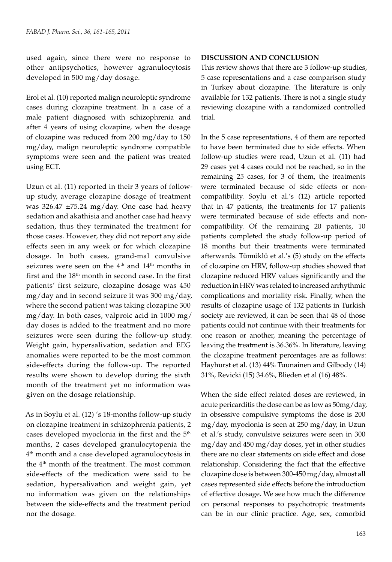used again, since there were no response to other antipsychotics, however agranulocytosis developed in 500 mg/day dosage.

Erol et al. (10) reported malign neuroleptic syndrome cases during clozapine treatment. In a case of a male patient diagnosed with schizophrenia and after 4 years of using clozapine, when the dosage of clozapine was reduced from 200 mg/day to 150 mg/day, malign neuroleptic syndrome compatible symptoms were seen and the patient was treated using ECT.

Uzun et al. (11) reported in their 3 years of followup study, average clozapine dosage of treatment was 326.47  $\pm$ 75.24 mg/day. One case had heavy sedation and akathisia and another case had heavy sedation, thus they terminated the treatment for those cases. However, they did not report any side effects seen in any week or for which clozapine dosage. In both cases, grand-mal convulsive seizures were seen on the  $4<sup>th</sup>$  and  $14<sup>th</sup>$  months in first and the 18th month in second case. In the first patients' first seizure, clozapine dosage was 450 mg/day and in second seizure it was 300 mg/day, where the second patient was taking clozapine 300 mg/day. In both cases, valproic acid in 1000 mg/ day doses is added to the treatment and no more seizures were seen during the follow-up study. Weight gain, hypersalivation, sedation and EEG anomalies were reported to be the most common side-effects during the follow-up. The reported results were shown to develop during the sixth month of the treatment yet no information was given on the dosage relationship.

As in Soylu et al. (12) 's 18-months follow-up study on clozapine treatment in schizophrenia patients, 2 cases developed myoclonia in the first and the 5<sup>th</sup> months, 2 cases developed granulocytopenia the  $4<sup>th</sup>$  month and a case developed agranulocytosis in the 4<sup>th</sup> month of the treatment. The most common side-effects of the medication were said to be sedation, hypersalivation and weight gain, yet no information was given on the relationships between the side-effects and the treatment period nor the dosage.

### **DISCUSSION AND CONCLUSION**

This review shows that there are 3 follow-up studies, 5 case representations and a case comparison study in Turkey about clozapine. The literature is only available for 132 patients. There is not a single study reviewing clozapine with a randomized controlled trial.

In the 5 case representations, 4 of them are reported to have been terminated due to side effects. When follow-up studies were read, Uzun et al. (11) had 29 cases yet 4 cases could not be reached, so in the remaining 25 cases, for 3 of them, the treatments were terminated because of side effects or noncompatibility. Soylu et al.'s (12) article reported that in 47 patients, the treatments for 17 patients were terminated because of side effects and noncompatibility. Of the remaining 20 patients, 10 patients completed the study follow-up period of 18 months but their treatments were terminated afterwards. Tümüklü et al.'s (5) study on the effects of clozapine on HRV, follow-up studies showed that clozapine reduced HRV values significantly and the reduction in HRV was related to increased arrhythmic complications and mortality risk. Finally, when the results of clozapine usage of 132 patients in Turkish society are reviewed, it can be seen that 48 of those patients could not continue with their treatments for one reason or another, meaning the percentage of leaving the treatment is 36.36%. In literature, leaving the clozapine treatment percentages are as follows: Hayhurst et al. (13) 44% Tuunainen and Gilbody (14) 31%, Revicki (15) 34.6%, Blieden et al (16) 48%.

When the side effect related doses are reviewed, in acute pericarditis the dose can be as low as 50mg/day, in obsessive compulsive symptoms the dose is 200 mg/day, myoclonia is seen at 250 mg/day, in Uzun et al.'s study, convulsive seizures were seen in 300 mg/day and 450 mg/day doses, yet in other studies there are no clear statements on side effect and dose relationship. Considering the fact that the effective clozapine dose is between 300-450 mg/day, almost all cases represented side effects before the introduction of effective dosage. We see how much the difference on personal responses to psychotropic treatments can be in our clinic practice. Age, sex, comorbid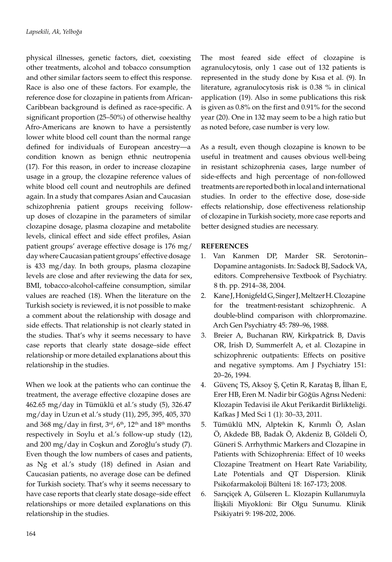physical illnesses, genetic factors, diet, coexisting other treatments, alcohol and tobacco consumption and other similar factors seem to effect this response. Race is also one of these factors. For example, the reference dose for clozapine in patients from African-Caribbean background is defined as race-specific. A significant proportion (25–50%) of otherwise healthy Afro-Americans are known to have a persistently lower white blood cell count than the normal range defined for individuals of European ancestry—a condition known as benign ethnic neutropenia (17). For this reason, in order to increase clozapine usage in a group, the clozapine reference values of white blood cell count and neutrophils are defined again. In a study that compares Asian and Caucasian schizophrenia patient groups receiving followup doses of clozapine in the parameters of similar clozapine dosage, plasma clozapine and metabolite levels, clinical effect and side effect profiles, Asian patient groups' average effective dosage is 176 mg/ day where Caucasian patient groups' effective dosage is 433 mg/day. In both groups, plasma clozapine levels are close and after reviewing the data for sex, BMI, tobacco-alcohol-caffeine consumption, similar values are reached (18). When the literature on the Turkish society is reviewed, it is not possible to make a comment about the relationship with dosage and side effects. That relationship is not clearly stated in the studies. That's why it seems necessary to have case reports that clearly state dosage–side effect relationship or more detailed explanations about this relationship in the studies.

When we look at the patients who can continue the treatment, the average effective clozapine doses are 462.65 mg/day in Tümüklü et al.'s study (5), 326.47 mg/day in Uzun et al.'s study (11), 295, 395, 405, 370 and 368 mg/day in first,  $3<sup>rd</sup>$ ,  $6<sup>th</sup>$ ,  $12<sup>th</sup>$  and  $18<sup>th</sup>$  months respectively in Soylu et al.'s follow-up study (12), and 200 mg/day in Coşkun and Zoroğlu's study (7). Even though the low numbers of cases and patients, as Ng et al.'s study (18) defined in Asian and Caucasian patients, no average dose can be defined for Turkish society. That's why it seems necessary to have case reports that clearly state dosage–side effect relationships or more detailed explanations on this relationship in the studies.

The most feared side effect of clozapine is agranulocytosis, only 1 case out of 132 patients is represented in the study done by Kısa et al. (9). In literature, agranulocytosis risk is 0.38 % in clinical application (19). Also in some publications this risk is given as 0.8% on the first and 0.91% for the second year (20). One in 132 may seem to be a high ratio but as noted before, case number is very low.

As a result, even though clozapine is known to be useful in treatment and causes obvious well-being in resistant schizophrenia cases, large number of side-effects and high percentage of non-followed treatments are reported both in local and international studies. In order to the effective dose, dose-side effects relationship, dose effectiveness relationship of clozapine in Turkish society, more case reports and better designed studies are necessary.

### **REFERENCES**

- 1. Van Kanmen DP, Marder SR. Serotonin– Dopamine antagonists. In: Sadock BJ, Sadock VA, editors. Comprehensive Textbook of Psychiatry. 8 th. pp. 2914–38, 2004.
- 2. Kane J, Honigfeld G, Singer J, Meltzer H. Clozapine for the treatment-resistant schizophrenic. A double-blind comparison with chlorpromazine. Arch Gen Psychiatry 45: 789–96, 1988.
- 3. Breier A, Buchanan RW, Kirkpatrick B, Davis OR, Irish D, Summerfelt A, et al. Clozapine in schizophrenic outpatients: Effects on positive and negative symptoms. Am J Psychiatry 151: 20–26, 1994.
- 4. Güvenç TS, Aksoy Ş, Çetin R, Karataş B, İlhan E, Erer HB, Eren M. Nadir bir Göğüs Ağrısı Nedeni: Klozapin Tedavisi ile Akut Perikardit Birlikteliği. Kafkas J Med Sci 1 (1): 30–33, 2011.
- 5. Tümüklü MN, Alptekin K, Kırımlı Ö, Aslan Ö, Akdede BB, Badak Ö, Akdeniz B, Göldeli Ö, Güneri S. Arrhythmic Markers and Clozapine in Patients with Schizophrenia: Effect of 10 weeks Clozapine Treatment on Heart Rate Variability, Late Potentials and QT Dispersion. Klinik Psikofarmakoloji Bülteni 18: 167-173; 2008.
- 6. Sarıçiçek A, Gülseren L. Klozapin Kullanımıyla İlişkili Miyokloni: Bir Olgu Sunumu. Klinik Psikiyatri 9: 198-202, 2006.